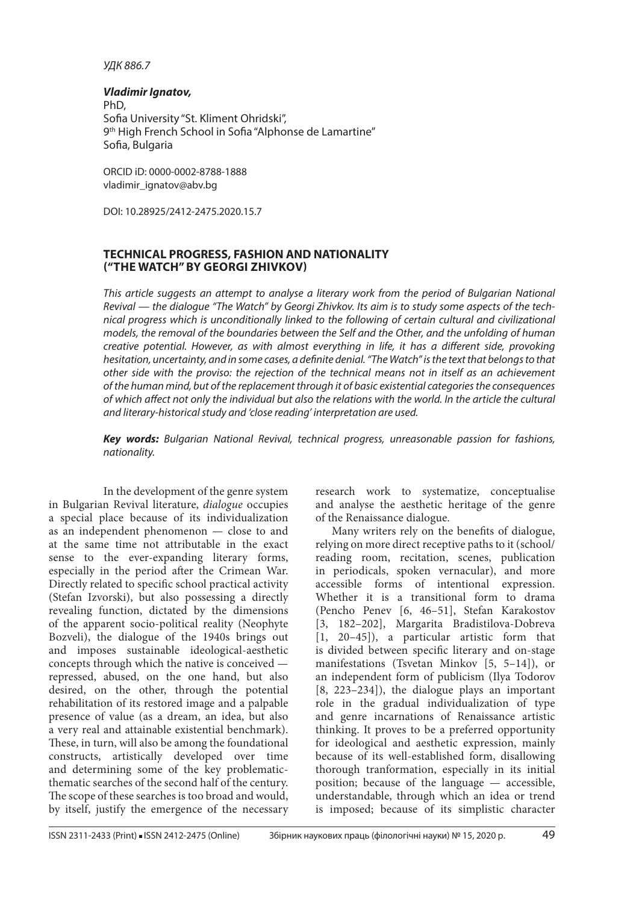## *УДК 886.7*

### *Vladimir Ignatov,*

PhD, Sofia University "St. Kliment Ohridski", 9<sup>th</sup> High French School in Sofia "Alphonse de Lamartine" Sofia, Bulgaria

ORCID iD: 0000-0002-8788-1888 vladimir\_ignatov@abv.bg

DOI: 10.28925/2412-2475.2020.15.7

# **TECHNICAL PROGRESS, FASHION AND NATIONALITY ("THE WATCH" BY GEORGI ZHIVKOV)**

*This article suggests an attempt to analyse a literary work from the period of Bulgarian National Revival — the dialogue "The Watch" by Georgi Zhivkov. Its aim is to study some aspects of the technical progress which is unconditionally linked to the following of certain cultural and civilizational models, the removal of the boundaries between the Self and the Other, and the unfolding of human creative potential. However, as with almost everything in life, it has a different side, provoking hesitation, uncertainty, and in some cases, a definite denial. "The Watch" is the text that belongs to that other side with the proviso: the rejection of the technical means not in itself as an achievement of the human mind, but of the replacement through it of basic existential categories the consequences of which affect not only the individual but also the relations with the world. In the article the cultural and literary-historical study and 'close reading' interpretation are used.*

*Key words: Bulgarian National Revival, technical progress, unreasonable passion for fashions, nationality.*

In the development of the genre system in Bulgarian Revival literature, *dialogue* occupies a special place because of its individualization as an independent phenomenon — close to and at the same time not attributable in the exact sense to the ever-expanding literary forms, especially in the period after the Crimean War. Directly related to specific school practical activity (Stefan Izvorski), but also possessing a directly revealing function, dictated by the dimensions of the apparent socio-political reality (Neophyte Bozveli), the dialogue of the 1940s brings out and imposes sustainable ideological-aesthetic concepts through which the native is conceived repressed, abused, on the one hand, but also desired, on the other, through the potential rehabilitation of its restored image and a palpable presence of value (as a dream, an idea, but also a very real and attainable existential benchmark). These, in turn, will also be among the foundational constructs, artistically developed over time and determining some of the key problematicthematic searches of the second half of the century. The scope of these searches is too broad and would, by itself, justify the emergence of the necessary

research work to systematize, conceptualise and analyse the aesthetic heritage of the genre of the Renaissance dialogue.

Many writers rely on the benefits of dialogue, relying on more direct receptive paths to it (school/ reading room, recitation, scenes, publication in periodicals, spoken vernacular), and more accessible forms of intentional expression. Whether it is a transitional form to drama (Pencho Penev [6, 46–51], Stefan Karakostov [3, 182–202], Margarita Bradistilova-Dobreva [1, 20–45]), a particular artistic form that is divided between specific literary and on-stage manifestations (Tsvetan Minkov [5, 5–14]), or an independent form of publicism (Ilya Todorov [8, 223–234]), the dialogue plays an important role in the gradual individualization of type and genre incarnations of Renaissance artistic thinking. It proves to be a preferred opportunity for ideological and aesthetic expression, mainly because of its well-established form, disallowing thorough tranformation, especially in its initial position; because of the language — accessible, understandable, through which an idea or trend is imposed; because of its simplistic character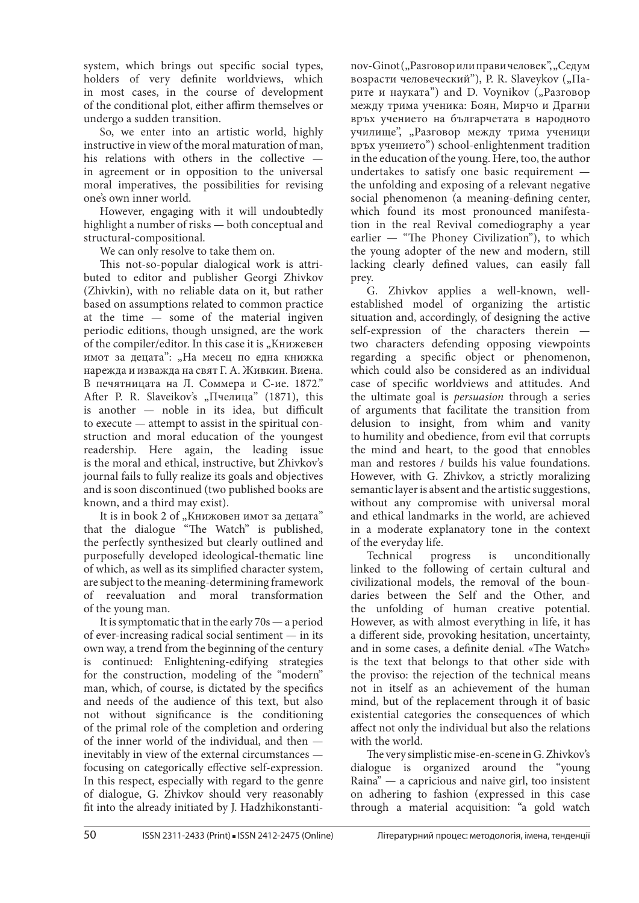system, which brings out specific social types, holders of very definite worldviews, which in most cases, in the course of development of the conditional plot, either affirm themselves or undergo a sudden transition.

So, we enter into an artistic world, highly instructive in view of the moral maturation of man, his relations with others in the collective in agreement or in opposition to the universal moral imperatives, the possibilities for revising one's own inner world.

However, engaging with it will undoubtedly highlight a number of risks — both conceptual and structural-compositional.

We can only resolve to take them on.

This not-so-popular dialogical work is attributed to editor and publisher Georgi Zhivkov (Zhivkin), with no reliable data on it, but rather based on assumptions related to common practice at the time  $-$  some of the material ingiven periodic editions, though unsigned, are the work of the compiler/editor. In this case it is "Книжевен имот за децата": "На месец по една книжка нарежда и изважда на свят Г. А. Живкин. Виена. В печятницата на Л. Соммера и С-ие. 1872." After P. R. Slaveikov's "Пчелица" (1871), this is another — noble in its idea, but difficult to execute — attempt to assist in the spiritual construction and moral education of the youngest readership. Here again, the leading issue is the moral and ethical, instructive, but Zhivkov's journal fails to fully realize its goals and objectives and is soon discontinued (two published books are known, and a third may exist).

It is in book 2 of "Книжовен имот за децата" that the dialogue "The Watch" is published, the perfectly synthesized but clearly outlined and purposefully developed ideological-thematic line of which, as well as its simplified character system, are subject to the meaning-determining framework of reevaluation and moral transformation of the young man.

It is symptomatic that in the early 70s — a period of ever-increasing radical social sentiment — in its own way, a trend from the beginning of the century is continued: Enlightening-edifying strategies for the construction, modeling of the "modern" man, which, of course, is dictated by the specifics and needs of the audience of this text, but also not without significance is the conditioning of the primal role of the completion and ordering of the inner world of the individual, and then inevitably in view of the external circumstances focusing on categorically effective self-expression. In this respect, especially with regard to the genre of dialogue, G. Zhivkov should very reasonably fit into the already initiated by J. Hadzhikonstanti-

nov-Ginot ("Разговор или прави человек", "Седум возрасти человеческий"), P. R. Slaveykov ("Парите и науката") and D. Voynikov  $\zeta_p$ Разговор между трима ученика: Боян, Мирчо и Драгни връх учението на българчетата в народното училище", "Разговор между трима ученици връх учението") school-enlightenment tradition in the education of the young. Here, too, the author undertakes to satisfy one basic requirement the unfolding and exposing of a relevant negative social phenomenon (a meaning-defining center, which found its most pronounced manifestation in the real Revival comediography a year earlier — "The Phoney Civilization"), to which the young adopter of the new and modern, still lacking clearly defined values, can easily fall prey.

G. Zhivkov applies a well-known, wellestablished model of organizing the artistic situation and, accordingly, of designing the active self-expression of the characters therein two characters defending opposing viewpoints regarding a specific object or phenomenon, which could also be considered as an individual case of specific worldviews and attitudes. And the ultimate goal is *persuasion* through a series of arguments that facilitate the transition from delusion to insight, from whim and vanity to humility and obedience, from evil that corrupts the mind and heart, to the good that ennobles man and restores / builds his value foundations. However, with G. Zhivkov, a strictly moralizing semantic layer is absent and the artistic suggestions, without any compromise with universal moral and ethical landmarks in the world, are achieved in a moderate explanatory tone in the context of the everyday life.

Technical progress is unconditionally linked to the following of certain cultural and civilizational models, the removal of the boundaries between the Self and the Other, and the unfolding of human creative potential. However, as with almost everything in life, it has a different side, provoking hesitation, uncertainty, and in some cases, a definite denial. «The Watch» is the text that belongs to that other side with the proviso: the rejection of the technical means not in itself as an achievement of the human mind, but of the replacement through it of basic existential categories the consequences of which affect not only the individual but also the relations with the world.

The very simplistic mise-en-scene in G. Zhivkov's dialogue is organized around the "young Raina" — a capricious and naive girl, too insistent on adhering to fashion (expressed in this case through a material acquisition: "a gold watch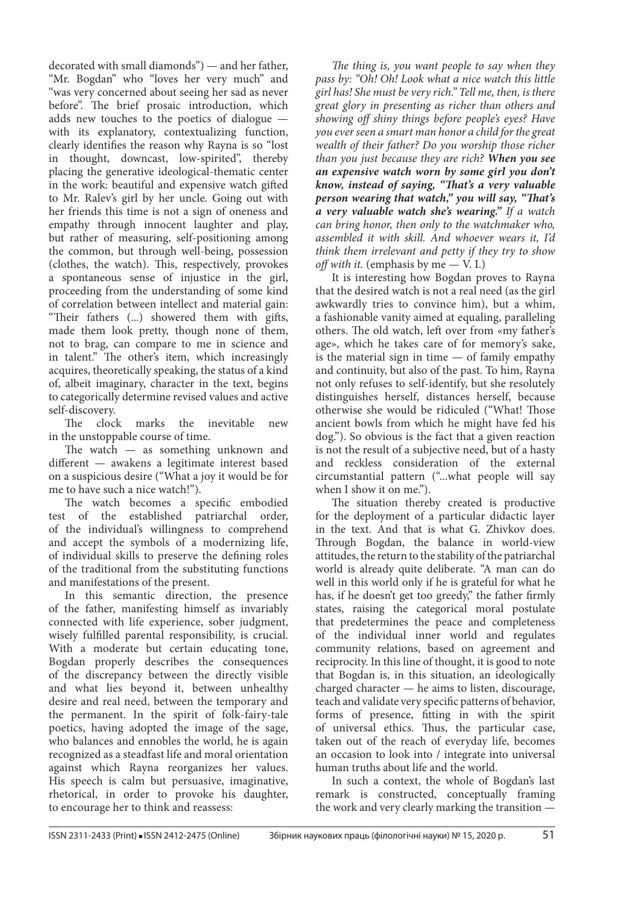decorated with small diamonds") — and her father, "Mr. Bogdan" who "loves her very much" and "was very concerned about seeing her sad as never before". The brief prosaic introduction, which adds new touches to the poetics of dialogue  $$ with its explanatory, contextualizing function, clearly identifies the reason why Rayna is so "lost in thought, downcast, low-spirited", thereby placing the generative ideological-thematic center in the work: beautiful and expensive watch gifted to Mr. Ralev's girl by her uncle. Going out with her friends this time is not a sign of oneness and empathy through innocent laughter and play, but rather of measuring, self-positioning among the common, but through well-being, possession (clothes, the watch). This, respectively, provokes a spontaneous sense of injustice in the girl, proceeding from the understanding of some kind of correlation between intellect and material gain: "Their fathers (...) showered them with gifts, made them look pretty, though none of them, not to brag, can compare to me in science and in talent." The other's item, which increasingly acquires, theoretically speaking, the status of a kind of, albeit imaginary, character in the text, begins to categorically determine revised values and active self-discovery.

The clock marks the inevitable new in the unstoppable course of time.

The watch  $-$  as something unknown and different - awakens a legitimate interest based on a suspicious desire ("What a joy it would be for me to have such a nice watch!").

The watch becomes a specific embodied test of the established patriarchal order, of the individual's willingness to comprehend and accept the symbols of a modernizing life, of individual skills to preserve the defining roles of the traditional from the substituting functions and manifestations of the present.

In this semantic direction, the presence of the father, manifesting himself as invariably connected with life experience, sober judgment, wisely fulfilled parental responsibility, is crucial. With a moderate but certain educating tone, Bogdan properly describes the consequences of the discrepancy between the directly visible and what lies beyond it, between unhealthy desire and real need, between the temporary and the permanent. In the spirit of folk-fairy-tale poetics, having adopted the image of the sage, who balances and ennobles the world, he is again recognized as a steadfast life and moral orientation against which Rayna reorganizes her values. His speech is calm but persuasive, imaginative, rhetorical, in order to provoke his daughter, to encourage her to think and reassess:

*The thing is, you want people to say when they pass by: "Oh! Oh! Look what a nice watch this little girl has! She must be very rich." Tell me, then, is there great glory in presenting as richer than others and showing off shiny things before people's eyes? Have you ever seen a smart man honor a child for the great wealth of their father? Do you worship those richer than you just because they are rich? When you see an expensive watch worn by some girl you don't know, instead of saying, "That's a very valuable person wearing that watch," you will say, "That's a very valuable watch she's wearing." If a watch can bring honor, then only to the watchmaker who, assembled it with skill. And whoever wears it, I'd think them irrelevant and petty if they try to show off with it.* (emphasis by me — V. I.)

It is interesting how Bogdan proves to Rayna that the desired watch is not a real need (as the girl awkwardly tries to convince him), but a whim, a fashionable vanity aimed at equaling, paralleling others. The old watch, left over from «my father's age», which he takes care of for memory's sake, is the material sign in time — of family empathy and continuity, but also of the past. To him, Rayna not only refuses to self-identify, but she resolutely distinguishes herself, distances herself, because otherwise she would be ridiculed ("What! Those ancient bowls from which he might have fed his dog."). So obvious is the fact that a given reaction is not the result of a subjective need, but of a hasty and reckless consideration of the external circumstantial pattern ("...what people will say when I show it on me.").

The situation thereby created is productive for the deployment of a particular didactic layer in the text. And that is what G. Zhivkov does. Through Bogdan, the balance in world-view attitudes, the return to the stability of the patriarchal world is already quite deliberate. "A man can do well in this world only if he is grateful for what he has, if he doesn't get too greedy," the father firmly states, raising the categorical moral postulate that predetermines the peace and completeness of the individual inner world and regulates community relations, based on agreement and reciprocity. In this line of thought, it is good to note that Bogdan is, in this situation, an ideologically charged character — he aims to listen, discourage, teach and validate very specific patterns of behavior, forms of presence, fitting in with the spirit of universal ethics. Thus, the particular case, taken out of the reach of everyday life, becomes an occasion to look into / integrate into universal human truths about life and the world.

In such a context, the whole of Bogdan's last remark is constructed, conceptually framing the work and very clearly marking the transition —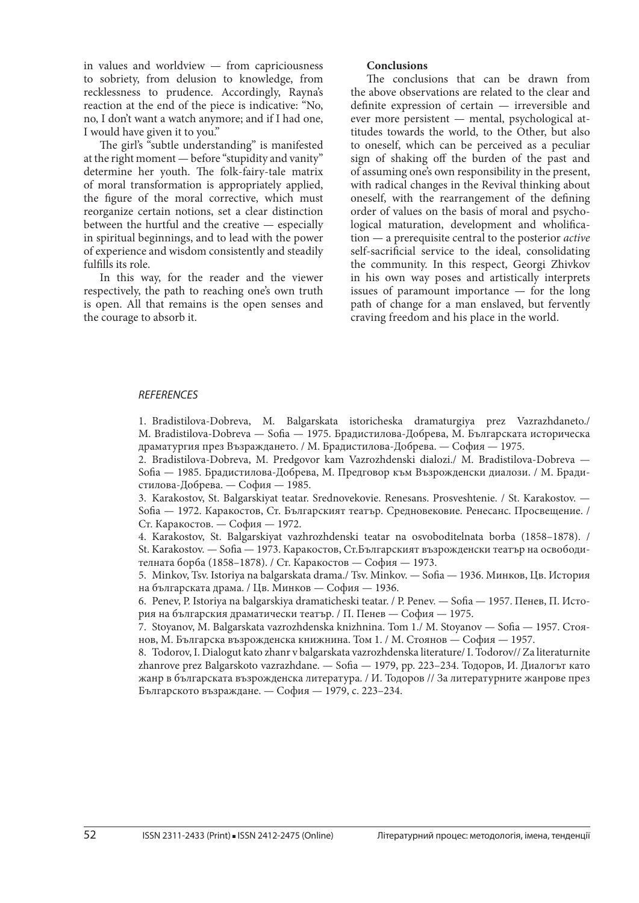in values and worldview — from capriciousness to sobriety, from delusion to knowledge, from recklessness to prudence. Accordingly, Rayna's reaction at the end of the piece is indicative: "No, no, I don't want a watch anymore; and if I had one, I would have given it to you."

The girl's "subtle understanding" is manifested at the right moment — before "stupidity and vanity" determine her youth. The folk-fairy-tale matrix of moral transformation is appropriately applied, the figure of the moral corrective, which must reorganize certain notions, set a clear distinction between the hurtful and the creative — especially in spiritual beginnings, and to lead with the power of experience and wisdom consistently and steadily fulfills its role.

In this way, for the reader and the viewer respectively, the path to reaching one's own truth is open. All that remains is the open senses and the courage to absorb it.

#### **Conclusions**

The conclusions that can be drawn from the above observations are related to the clear and definite expression of certain — irreversible and ever more persistent - mental, psychological attitudes towards the world, to the Other, but also to oneself, which can be perceived as a peculiar sign of shaking off the burden of the past and of assuming one's own responsibility in the present, with radical changes in the Revival thinking about oneself, with the rearrangement of the defining order of values on the basis of moral and psychological maturation, development and wholification — a prerequisite central to the posterior *active* self-sacrificial service to the ideal, consolidating the community. In this respect, Georgi Zhivkov in his own way poses and artistically interprets issues of paramount importance — for the long path of change for a man enslaved, but fervently craving freedom and his place in the world.

#### *REFERENCES*

1. Bradistilova-Dobreva, M. Balgarskata istoricheska dramaturgiya prez Vazrazhdaneto./ M. Bradistilova-Dobreva — Sofia — 1975. Брадистилова-Добрева, М. Българската историческа драматургия през Възраждането. / M. Брадистилова-Добрева. — София — 1975.

2. Bradistilova-Dobreva, M. Predgovor kam Vazrozhdenski dialozi./ M. Bradistilova-Dobreva — Sofia — 1985. Брадистилова-Добрева, М. Предговор към Възрожденски диалози. / М. Брадистилова-Добрева. — София — 1985.

3. Karakostov, St. Balgarskiyat teatar. Srednovekovie. Renesans. Prosveshtenie. / St. Karakostov. — Sofia — 1972. Каракостов, Ст. Българският театър. Средновековие. Ренесанс. Просвещение. / Ст. Каракостов. — София — 1972.

4. Karakostov, St. Balgarskiyat vazhrozhdenski teatar na osvoboditelnata borba (1858–1878). / St. Karakostov. — Sofia — 1973. Каракостов, Ст.Българският възрожденски театър на освободителната борба (1858–1878). / Ст. Каракостов — София — 1973.

5. Minkov, Tsv. Istoriya na balgarskata drama./ Tsv. Minkov. — Sofia — 1936. Минков, Цв. История на българската драма. / Цв. Минков — София — 1936.

6. Penev, P. Istoriya na balgarskiya dramaticheski teatar. / P. Penev. — Sofia — 1957. Пенев, П. История на българския драматически театър. / П. Пенев — София — 1975.

7. Stoyanov, M. Balgarskata vazrozhdenska knizhnina. Tom 1./ M. Stoyanov — Sofia — 1957. Стоянов, М. Българска възрожденска книжнина. Том 1. / М. Стоянов — София — 1957.

8. Todorov, I. Dialogut kato zhanr v balgarskata vazrozhdenska literature/ I. Todorov// Za literaturnite zhanrove prez Balgarskoto vazrazhdane. — Sofia — 1979, pp. 223–234. Тодоров, И. Диалогът като жанр в българската възрожденска литература. / И. Тодоров // За литературните жанрове през Българското възраждане. — София — 1979, с. 223–234.